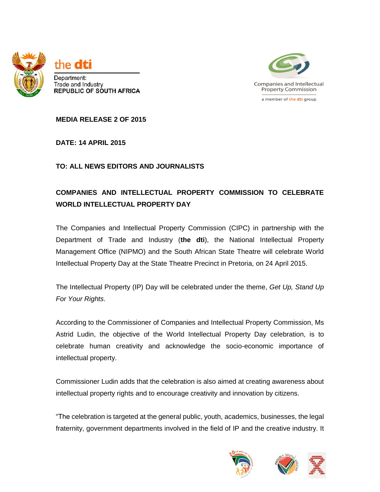



**MEDIA RELEASE 2 OF 2015**

**DATE: 14 APRIL 2015** 

## **TO: ALL NEWS EDITORS AND JOURNALISTS**

## **COMPANIES AND INTELLECTUAL PROPERTY COMMISSION TO CELEBRATE WORLD INTELLECTUAL PROPERTY DAY**

The Companies and Intellectual Property Commission (CIPC) in partnership with the Department of Trade and Industry (**the dti**), the National Intellectual Property Management Office (NIPMO) and the South African State Theatre will celebrate World Intellectual Property Day at the State Theatre Precinct in Pretoria, on 24 April 2015.

The Intellectual Property (IP) Day will be celebrated under the theme, *Get Up, Stand Up For Your Rights*.

According to the Commissioner of Companies and Intellectual Property Commission, Ms Astrid Ludin, the objective of the World Intellectual Property Day celebration, is to celebrate human creativity and acknowledge the socio-economic importance of intellectual property.

Commissioner Ludin adds that the celebration is also aimed at creating awareness about intellectual property rights and to encourage creativity and innovation by citizens.

"The celebration is targeted at the general public, youth, academics, businesses, the legal fraternity, government departments involved in the field of IP and the creative industry. It